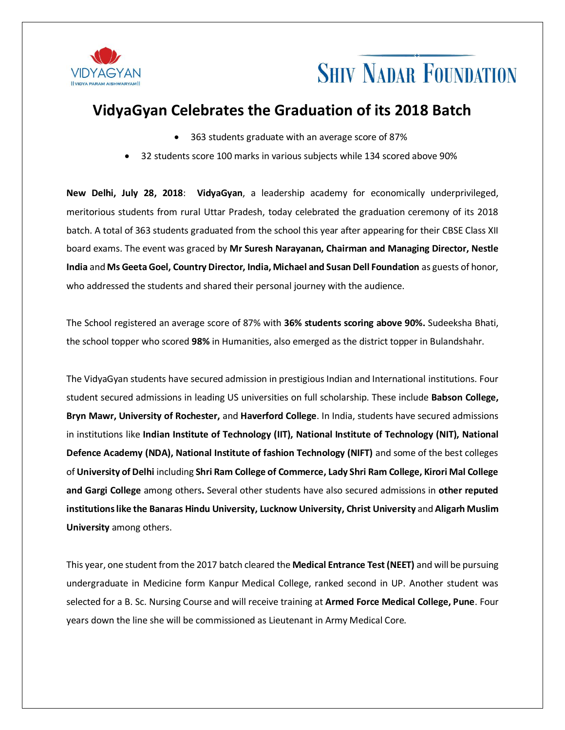

## **SHIV NADAR FOUNDATION**

### **VidyaGyan Celebrates the Graduation of its 2018 Batch**

- 363 students graduate with an average score of 87%
- 32 students score 100 marks in various subjects while 134 scored above 90%

**New Delhi, July 28, 2018**: **VidyaGyan**, a leadership academy for economically underprivileged, meritorious students from rural Uttar Pradesh, today celebrated the graduation ceremony of its 2018 batch. A total of 363 students graduated from the school this year after appearing for their CBSE Class XII board exams. The event was graced by **Mr Suresh Narayanan, Chairman and Managing Director, Nestle India** and **Ms Geeta Goel, Country Director, India, Michael and Susan Dell Foundation** as guests of honor, who addressed the students and shared their personal journey with the audience.

The School registered an average score of 87% with **36% students scoring above 90%.** Sudeeksha Bhati, the school topper who scored **98%** in Humanities, also emerged as the district topper in Bulandshahr.

The VidyaGyan students have secured admission in prestigious Indian and International institutions. Four student secured admissions in leading US universities on full scholarship. These include **Babson College, Bryn Mawr, University of Rochester,** and **Haverford College**. In India, students have secured admissions in institutions like **Indian Institute of Technology (IIT), National Institute of Technology (NIT), National Defence Academy (NDA), National Institute of fashion Technology (NIFT)** and some of the best colleges of **University of Delhi** including **Shri Ram College of Commerce, Lady Shri Ram College, Kirori Mal College and Gargi College** among others**.** Several other students have also secured admissions in **other reputed institutions like the Banaras Hindu University, Lucknow University, Christ University** and **Aligarh Muslim University** among others.

This year, one student from the 2017 batch cleared the **Medical Entrance Test (NEET)** and will be pursuing undergraduate in Medicine form Kanpur Medical College, ranked second in UP. Another student was selected for a B. Sc. Nursing Course and will receive training at **Armed Force Medical College, Pune**. Four years down the line she will be commissioned as Lieutenant in Army Medical Core.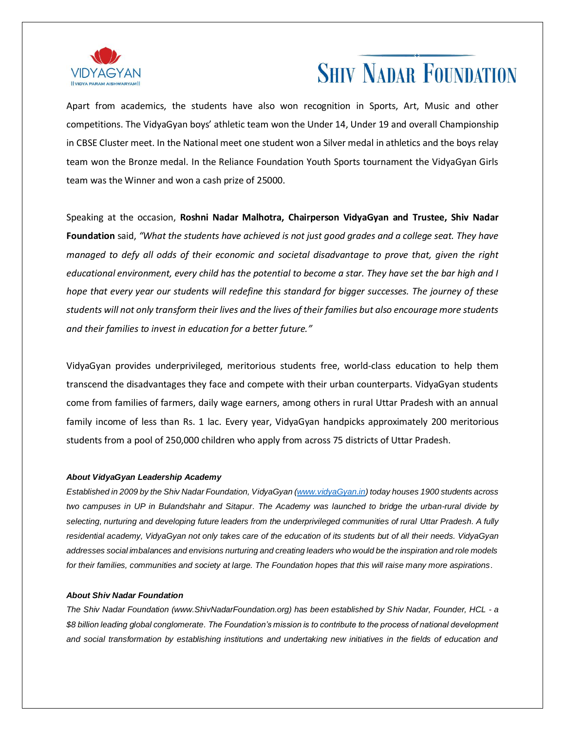

## **SHIV NADAR FOUNDATION**

Apart from academics, the students have also won recognition in Sports, Art, Music and other competitions. The VidyaGyan boys' athletic team won the Under 14, Under 19 and overall Championship in CBSE Cluster meet. In the National meet one student won a Silver medal in athletics and the boys relay team won the Bronze medal. In the Reliance Foundation Youth Sports tournament the VidyaGyan Girls team was the Winner and won a cash prize of 25000.

Speaking at the occasion, **Roshni Nadar Malhotra, Chairperson VidyaGyan and Trustee, Shiv Nadar Foundation** said, *"What the students have achieved is not just good grades and a college seat. They have managed to defy all odds of their economic and societal disadvantage to prove that, given the right educational environment, every child has the potential to become a star. They have set the bar high and I hope that every year our students will redefine this standard for bigger successes. The journey of these students will not only transform their lives and the lives of their families but also encourage more students and their families to invest in education for a better future."*

VidyaGyan provides underprivileged, meritorious students free, world-class education to help them transcend the disadvantages they face and compete with their urban counterparts. VidyaGyan students come from families of farmers, daily wage earners, among others in rural Uttar Pradesh with an annual family income of less than Rs. 1 lac. Every year, VidyaGyan handpicks approximately 200 meritorious students from a pool of 250,000 children who apply from across 75 districts of Uttar Pradesh.

#### *About VidyaGyan Leadership Academy*

*Established in 2009 by the Shiv Nadar Foundation, VidyaGyan [\(www.vidyaGyan.in\)](http://www.vidyagyan.in/) today houses 1900 students across two campuses in UP in Bulandshahr and Sitapur. The Academy was launched to bridge the urban-rural divide by selecting, nurturing and developing future leaders from the underprivileged communities of rural Uttar Pradesh. A fully*  residential academy, VidyaGyan not only takes care of the education of its students but of all their needs. VidyaGyan *addresses social imbalances and envisions nurturing and creating leaders who would be the inspiration and role models for their families, communities and society at large. The Foundation hopes that this will raise many more aspirations.*

#### *About Shiv Nadar Foundation*

*The Shiv Nadar Foundation (www.ShivNadarFoundation.org) has been established by Shiv Nadar, Founder, HCL - a \$8 billion leading global conglomerate. The Foundation's mission is to contribute to the process of national development and social transformation by establishing institutions and undertaking new initiatives in the fields of education and*